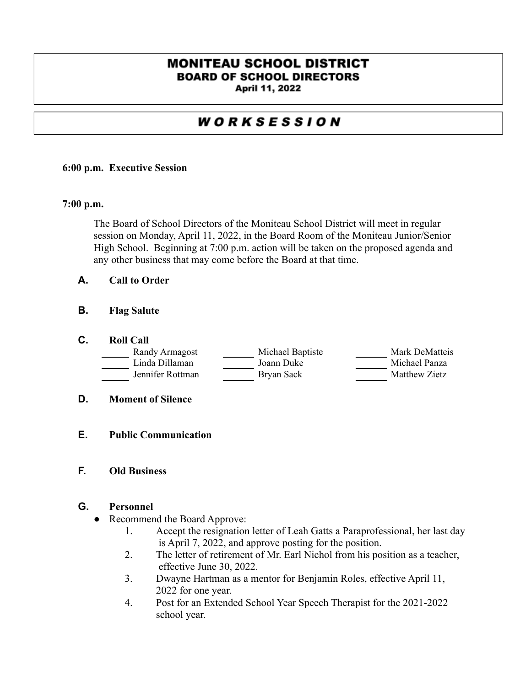## **MONITEAU SCHOOL DISTRICT BOARD OF SCHOOL DIRECTORS**

April 11, 2022

# WORKSESSION

#### **6:00 p.m. Executive Session**

#### **7:00 p.m.**

The Board of School Directors of the Moniteau School District will meet in regular session on Monday, April 11, 2022, in the Board Room of the Moniteau Junior/Senior High School. Beginning at 7:00 p.m. action will be taken on the proposed agenda and any other business that may come before the Board at that time.

- **A. Call to Order**
- **B. Flag Salute**
- **C. Roll Call**

| Randy Armagost   | Michael Baptiste | Mark DeMatteis       |
|------------------|------------------|----------------------|
| Linda Dillaman   | Joann Duke       | Michael Panza        |
| Jennifer Rottman | Bryan Sack       | <b>Matthew Zietz</b> |

- **D. Moment of Silence**
- **E. Public Communication**
- **F. Old Business**

## **G. Personnel**

- Recommend the Board Approve:
	- 1. Accept the resignation letter of Leah Gatts a Paraprofessional, her last day is April 7, 2022, and approve posting for the position.
	- 2. The letter of retirement of Mr. Earl Nichol from his position as a teacher, effective June 30, 2022.
	- 3. Dwayne Hartman as a mentor for Benjamin Roles, effective April 11, 2022 for one year.
	- 4. Post for an Extended School Year Speech Therapist for the 2021-2022 school year.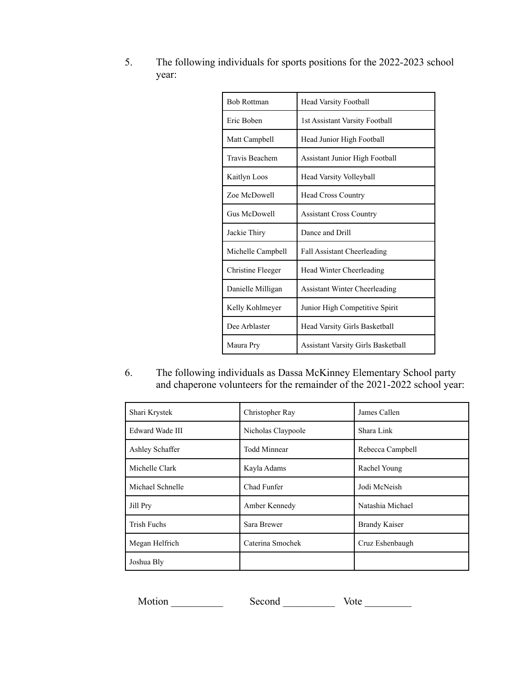| <b>Bob Rottman</b>       | Head Varsity Football                 |  |
|--------------------------|---------------------------------------|--|
| Eric Boben               | 1st Assistant Varsity Football        |  |
| Matt Campbell            | Head Junior High Football             |  |
| Travis Beachem           | <b>Assistant Junior High Football</b> |  |
| Kaitlyn Loos             | <b>Head Varsity Volleyball</b>        |  |
| Zoe McDowell             | <b>Head Cross Country</b>             |  |
| Gus McDowell             | <b>Assistant Cross Country</b>        |  |
| Jackie Thiry             | Dance and Drill                       |  |
| Michelle Campbell        | <b>Fall Assistant Cheerleading</b>    |  |
| <b>Christine Fleeger</b> | Head Winter Cheerleading              |  |
| Danielle Milligan        | <b>Assistant Winter Cheerleading</b>  |  |
| Kelly Kohlmeyer          | Junior High Competitive Spirit        |  |
| Dee Arblaster            | Head Varsity Girls Basketball         |  |
| Maura Pry                | Assistant Varsity Girls Basketball    |  |

5. The following individuals for sports positions for the 2022-2023 school year:

6. The following individuals as Dassa McKinney Elementary School party and chaperone volunteers for the remainder of the 2021-2022 school year:

| Shari Krystek      | Christopher Ray     | James Callen         |
|--------------------|---------------------|----------------------|
| Edward Wade III    | Nicholas Claypoole  | Shara Link           |
| Ashley Schaffer    | <b>Todd Minnear</b> | Rebecca Campbell     |
| Michelle Clark     | Kayla Adams         | Rachel Young         |
| Michael Schnelle   | Chad Funfer         | Jodi McNeish         |
| Jill Pry           | Amber Kennedy       | Natashia Michael     |
| <b>Trish Fuchs</b> | Sara Brewer         | <b>Brandy Kaiser</b> |
| Megan Helfrich     | Caterina Smochek    | Cruz Eshenbaugh      |
| Joshua Bly         |                     |                      |

Motion Second Vote League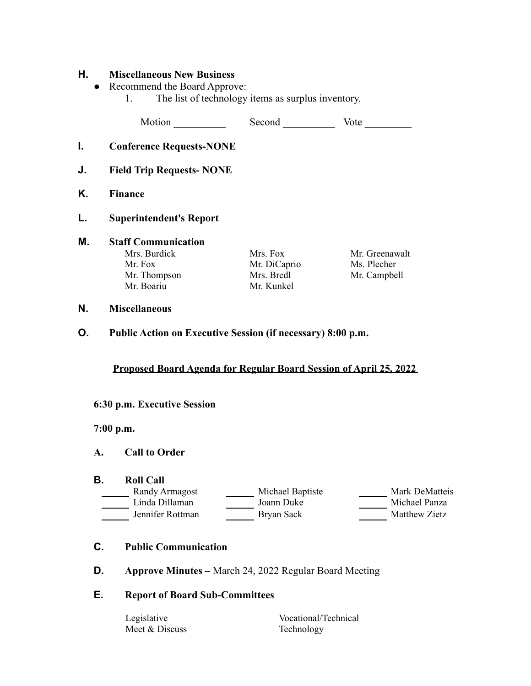#### **H. Miscellaneous New Business**

- Recommend the Board Approve:
	- 1. The list of technology items as surplus inventory.

Motion Second Vote Number

- **I. Conference Requests-NONE**
- **J. Field Trip Requests- NONE**
- **K. Finance**
- **L. Superintendent's Report**

# **M. Staff Communication**

Mr. Fox Mr. DiCaprio Ms. Plecher Mr. Thompson Mrs. Bredl Mr. Campbell Mr. Boariu Mr. Kunkel

Mrs. Burdick Mrs. Fox Mr. Greenawalt

#### **N. Miscellaneous**

**O. Public Action on Executive Session (if necessary) 8:00 p.m.**

#### **Proposed Board Agenda for Regular Board Session of April 25, 2022**

#### **6:30 p.m. Executive Session**

**7:00 p.m.**

#### **A. Call to Order**

#### **B. Roll Call**

| Randy Armagost   | Michael Baptiste | Mark DeMatteis       |
|------------------|------------------|----------------------|
| Linda Dillaman   | Joann Duke       | Michael Panza        |
| Jennifer Rottman | Bryan Sack       | <b>Matthew Zietz</b> |

- **C. Public Communication**
- **D. Approve Minutes –** March 24, 2022 Regular Board Meeting

#### **E. Report of Board Sub-Committees**

Meet & Discuss Technology

Legislative Vocational/Technical